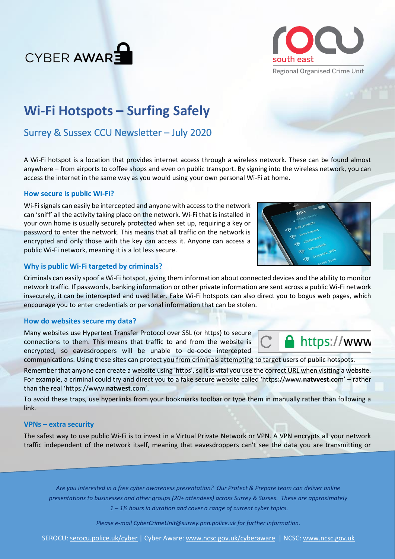



# **Wi-Fi Hotspots – Surfing Safely**

## Surrey & Sussex CCU Newsletter – July 2020

A Wi-Fi hotspot is a location that provides internet access through a wireless network. These can be found almost anywhere – from airports to coffee shops and even on public transport. By signing into the wireless network, you can access the internet in the same way as you would using your own personal Wi-Fi at home.

#### **How secure is public Wi-Fi?**

Wi-Fi signals can easily be intercepted and anyone with access to the network can 'sniff' all the activity taking place on the network. Wi-Fi that is installed in your own home is usually securely protected when set up, requiring a key or password to enter the network. This means that all traffic on the network is encrypted and only those with the key can access it. Anyone can access a public Wi-Fi network, meaning it is a lot less secure.

### **Why is public Wi-Fi targeted by criminals?**

Criminals can easily spoof a Wi-Fi hotspot, giving them information about connected devices and the ability to monitor network traffic. If passwords, banking information or other private information are sent across a public Wi-Fi network insecurely, it can be intercepted and used later. Fake Wi-Fi hotspots can also direct you to bogus web pages, which encourage you to enter credentials or personal information that can be stolen.

#### **How do websites secure my data?**

Many websites use Hypertext Transfer Protocol over SSL (or https) to secure connections to them. This means that traffic to and from the website is encrypted, so eavesdroppers will be unable to de-code intercepted communications. Using these sites can protect you from criminals attempting to target users of public hotspots.

Remember that anyone can create a website using 'https', so it is vital you use the correct URL when visiting a website. For example, a criminal could try and direct you to a fake secure website called 'https://www.**natvvest**.com' – rather than the real 'https://www.**natwest**.com'.

To avoid these traps, use hyperlinks from your bookmarks toolbar or type them in manually rather than following a link.

#### **VPNs – extra security**

The safest way to use public Wi-Fi is to invest in a Virtual Private Network or VPN. A VPN encrypts all your network traffic independent of the network itself, meaning that eavesdroppers can't see the data you are transmitting or

*Are you interested in a free cyber awareness presentation? Our Protect & Prepare team can deliver online presentations to businesses and other groups (20+ attendees) across Surrey & Sussex. These are approximately 1 – 1½ hours in duration and cover a range of current cyber topics.* 

*Please e-mail [CyberCrimeUnit@surrey.pnn.police.uk](mailto:CyberCrimeUnit@surrey.pnn.police.uk) for further information.*